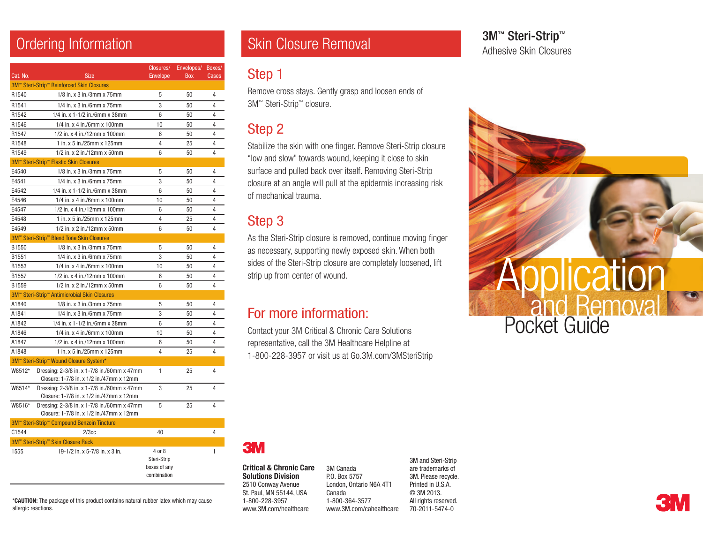| Cat. No.                                  | <b>Size</b>                                                                             | Closures/<br><b>Envelope</b>                         | Envelopes/<br><b>Box</b> | Boxes/<br><b>Cases</b> |
|-------------------------------------------|-----------------------------------------------------------------------------------------|------------------------------------------------------|--------------------------|------------------------|
| 3M™ Steri-Strip™ Reinforced Skin Closures |                                                                                         |                                                      |                          |                        |
| R1540                                     | 1/8 in. x 3 in./3mm x 75mm                                                              | 5                                                    | 50                       | 4                      |
| R1541                                     | 1/4 in. x 3 in./6mm x 75mm                                                              | 3                                                    | 50                       | 4                      |
| R1542                                     | 1/4 in. x 1-1/2 in./6mm x 38mm                                                          | 6                                                    | 50                       | 4                      |
| R1546                                     | 1/4 in. x 4 in./6mm x 100mm                                                             | 10                                                   | 50                       | 4                      |
| R1547                                     | 1/2 in. x 4 in./12mm x 100mm                                                            | 6                                                    | 50                       | $\overline{4}$         |
| R1548                                     | 1 in. x 5 in./25mm x 125mm                                                              | 4                                                    | 25                       | 4                      |
| R1549                                     | 1/2 in. x 2 in./12mm x 50mm                                                             | 6                                                    | 50                       | 4                      |
|                                           | 3M <sup>™</sup> Steri-Strip <sup>™</sup> Elastic Skin Closures                          |                                                      |                          |                        |
| E4540                                     | $1/8$ in. x 3 in./3mm x 75mm                                                            | 5                                                    | 50                       | 4                      |
| E4541                                     | 1/4 in. x 3 in./6mm x 75mm                                                              | 3                                                    | 50                       | 4                      |
| E4542                                     | 1/4 in. x 1-1/2 in./6mm x 38mm                                                          | 6                                                    | 50                       | 4                      |
| E4546                                     | 1/4 in. x 4 in./6mm x 100mm                                                             | 10                                                   | 50                       | 4                      |
| E4547                                     | 1/2 in. x 4 in./12mm x 100mm                                                            | 6                                                    | 50                       | 4                      |
| E4548                                     | 1 in. x 5 in./25mm x 125mm                                                              | 4                                                    | 25                       | 4                      |
| E4549                                     | 1/2 in. x 2 in./12mm x 50mm                                                             | 6                                                    | 50                       | 4                      |
|                                           | 3M™ Steri-Strip™ Blend Tone Skin Closures                                               |                                                      |                          |                        |
| B1550                                     | 1/8 in. x 3 in./3mm x 75mm                                                              | 5                                                    | 50                       | 4                      |
| B1551                                     | 1/4 in. x 3 in./6mm x 75mm                                                              | 3                                                    | 50                       | $\overline{4}$         |
| B1553                                     | 1/4 in. x 4 in./6mm x 100mm                                                             | 10                                                   | 50                       | 4                      |
| B1557                                     | 1/2 in. x 4 in./12mm x 100mm                                                            | 6                                                    | 50                       | 4                      |
| B1559                                     | 1/2 in. x 2 in./12mm x 50mm                                                             | 6                                                    | 50                       | 4                      |
|                                           | 3M™ Steri-Strip™ Antimicrobial Skin Closures                                            |                                                      |                          |                        |
| A1840                                     | 1/8 in. x 3 in./3mm x 75mm                                                              | 5                                                    | 50                       | 4                      |
| A1841                                     | 1/4 in. x 3 in./6mm x 75mm                                                              | 3                                                    | 50                       | 4                      |
| A1842                                     | 1/4 in. x 1-1/2 in./6mm x 38mm                                                          | 6                                                    | 50                       | 4                      |
| A1846                                     | 1/4 in. x 4 in./6mm x 100mm                                                             | 10                                                   | 50                       | 4                      |
| A1847                                     | 1/2 in. x 4 in./12mm x 100mm                                                            | 6                                                    | 50                       | 4                      |
| A1848                                     | 1 in. x 5 in./25mm x 125mm                                                              | 4                                                    | 25                       | 4                      |
|                                           | 3M™ Steri-Strip™ Wound Closure System*                                                  |                                                      |                          |                        |
| W8512*                                    | Dressing: 2-3/8 in. x 1-7/8 in./60mm x 47mm<br>Closure: 1-7/8 in. x 1/2 in./47mm x 12mm | 1                                                    | 25                       | 4                      |
| W8514*                                    | Dressing: 2-3/8 in. x 1-7/8 in./60mm x 47mm<br>Closure: 1-7/8 in. x 1/2 in./47mm x 12mm | 3                                                    | 25                       | 4                      |
| W8516*                                    | Dressing: 2-3/8 in. x 1-7/8 in./60mm x 47mm<br>Closure: 1-7/8 in. x 1/2 in./47mm x 12mm | 5                                                    | 25                       | 4                      |
|                                           | 3M™ Steri-Strip™ Compound Benzoin Tincture                                              |                                                      |                          |                        |
| C1544                                     | 2/3cc                                                                                   | 40                                                   |                          | 4                      |
|                                           | 3M™ Steri-Strip™ Skin Closure Rack                                                      |                                                      |                          |                        |
| 1555                                      | 19-1/2 in. x 5-7/8 in. x 3 in.                                                          | 4 or 8<br>Steri-Strip<br>boxes of any<br>combination |                          | 1                      |

\*CAUTION: The package of this product contains natural rubber latex which may cause allergic reactions.

# Ordering Information School Skin Closure Removal

#### Step 1

Remove cross stays. Gently grasp and loosen ends of 3M™ Steri-Strip™ closure.

### Step 2

Stabilize the skin with one finger. Remove Steri-Strip closure "low and slow" towards wound, keeping it close to skin surface and pulled back over itself. Removing Steri-Strip closure at an angle will pull at the epidermis increasing risk of mechanical trauma.

#### Step 3

As the Steri-Strip closure is removed, continue moving finger as necessary, supporting newly exposed skin. When both sides of the Steri-Strip closure are completely loosened, lift strip up from center of wound.

## For more information:

Contact your 3M Critical & Chronic Care Solutions representative, call the 3M Healthcare Helpline at 1-800-228-3957 or visit us at Go.3M.com/3MSteriStrip 3M<sup>™</sup> Steri-Strip™ Adhesive Skin Closures





Critical & Chronic Care Solutions Division 2510 Conway Avenue St. Paul, MN 55144, USA 1-800-228-3957 www.3M.com/healthcare

3M Canada P.O. Box 5757 London, Ontario N6A 4T1 Canada 1-800-364-3577 www.3M.com/cahealthcare

3M and Steri-Strip are trademarks of 3M. Please recycle. Printed in U.S.A. © 3M 2013. All rights reserved. 70-2011-5474-0